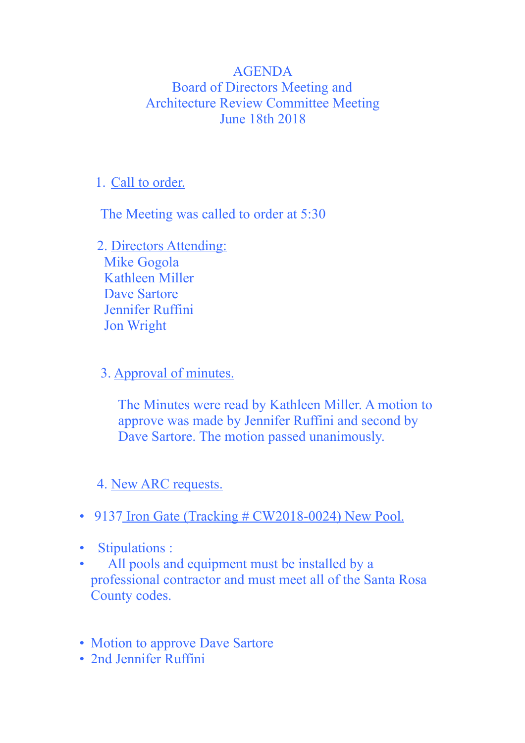## AGENDA Board of Directors Meeting and Architecture Review Committee Meeting June 18th 2018

## 1. Call to order.

The Meeting was called to order at 5:30

 2. Directors Attending: Mike Gogola Kathleen Miller Dave Sartore Jennifer Ruffini Jon Wright

3. Approval of minutes.

 The Minutes were read by Kathleen Miller. A motion to approve was made by Jennifer Ruffini and second by Dave Sartore. The motion passed unanimously.

## 4. New ARC requests.

- 9137 Iron Gate (Tracking # CW2018-0024) New Pool.
- Stipulations :
- All pools and equipment must be installed by a professional contractor and must meet all of the Santa Rosa County codes.
- Motion to approve Dave Sartore
- 2nd Jennifer Ruffini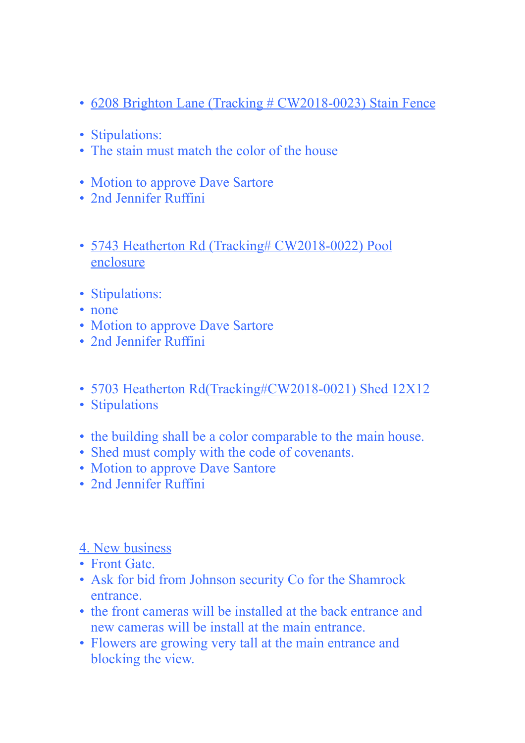- 6208 Brighton Lane (Tracking # CW2018-0023) Stain Fence
- Stipulations:
- The stain must match the color of the house
- Motion to approve Dave Sartore
- 2nd Jennifer Ruffini
- 5743 Heatherton Rd (Tracking# CW2018-0022) Pool enclosure
- Stipulations:
- none
- Motion to approve Dave Sartore
- 2nd Jennifer Ruffini
- 5703 Heatherton Rd(Tracking#CW2018-0021) Shed 12X12
- Stipulations
- the building shall be a color comparable to the main house.
- Shed must comply with the code of covenants.
- Motion to approve Dave Santore
- 2nd Jennifer Ruffini

## 4. New business

- Front Gate.
- Ask for bid from Johnson security Co for the Shamrock entrance.
- the front cameras will be installed at the back entrance and new cameras will be install at the main entrance.
- Flowers are growing very tall at the main entrance and blocking the view.